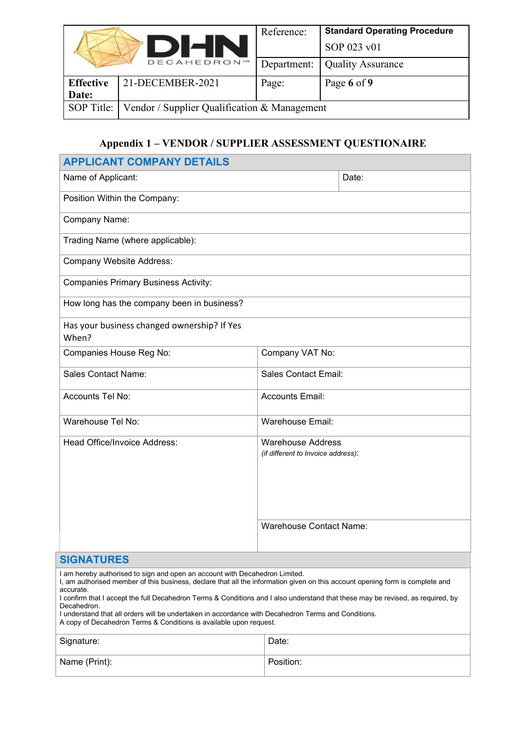|                                  | Reference:  | <b>Standard Operating Procedure</b>          |
|----------------------------------|-------------|----------------------------------------------|
|                                  |             | SOP 023 v01                                  |
| <b>DECAHEDRON</b> <sup>170</sup> | Department: | <b>Quality Assurance</b>                     |
| 21-DECEMBER-2021                 | Page:       | Page 6 of 9                                  |
|                                  |             |                                              |
|                                  |             |                                              |
|                                  | DIHN        | Vendor / Supplier Qualification & Management |

## **Appendix 1 – VENDOR / SUPPLIER ASSESSMENT QUESTIONAIRE**

| <b>APPLICANT COMPANY DETAILS</b>                                                                                                                                                                                                                                                                                                                                                                                                                                                                                                                         |                                                                |       |  |
|----------------------------------------------------------------------------------------------------------------------------------------------------------------------------------------------------------------------------------------------------------------------------------------------------------------------------------------------------------------------------------------------------------------------------------------------------------------------------------------------------------------------------------------------------------|----------------------------------------------------------------|-------|--|
| Name of Applicant:                                                                                                                                                                                                                                                                                                                                                                                                                                                                                                                                       |                                                                | Date: |  |
| Position Within the Company:                                                                                                                                                                                                                                                                                                                                                                                                                                                                                                                             |                                                                |       |  |
| Company Name:                                                                                                                                                                                                                                                                                                                                                                                                                                                                                                                                            |                                                                |       |  |
| Trading Name (where applicable):                                                                                                                                                                                                                                                                                                                                                                                                                                                                                                                         |                                                                |       |  |
| <b>Company Website Address:</b>                                                                                                                                                                                                                                                                                                                                                                                                                                                                                                                          |                                                                |       |  |
| <b>Companies Primary Business Activity:</b>                                                                                                                                                                                                                                                                                                                                                                                                                                                                                                              |                                                                |       |  |
| How long has the company been in business?                                                                                                                                                                                                                                                                                                                                                                                                                                                                                                               |                                                                |       |  |
| Has your business changed ownership? If Yes<br>When?                                                                                                                                                                                                                                                                                                                                                                                                                                                                                                     |                                                                |       |  |
| Companies House Reg No:                                                                                                                                                                                                                                                                                                                                                                                                                                                                                                                                  | Company VAT No:                                                |       |  |
| <b>Sales Contact Name:</b>                                                                                                                                                                                                                                                                                                                                                                                                                                                                                                                               | <b>Sales Contact Email:</b>                                    |       |  |
| Accounts Tel No:                                                                                                                                                                                                                                                                                                                                                                                                                                                                                                                                         | <b>Accounts Email:</b>                                         |       |  |
| Warehouse Tel No:                                                                                                                                                                                                                                                                                                                                                                                                                                                                                                                                        | Warehouse Email:                                               |       |  |
| Head Office/Invoice Address:                                                                                                                                                                                                                                                                                                                                                                                                                                                                                                                             | <b>Warehouse Address</b><br>(if different to Invoice address): |       |  |
|                                                                                                                                                                                                                                                                                                                                                                                                                                                                                                                                                          | <b>Warehouse Contact Name:</b>                                 |       |  |
| <b>SIGNATURES</b>                                                                                                                                                                                                                                                                                                                                                                                                                                                                                                                                        |                                                                |       |  |
| I am hereby authorised to sign and open an account with Decahedron Limited.<br>I, am authorised member of this business, declare that all the information given on this account opening form is complete and<br>accurate.<br>I confirm that I accept the full Decahedron Terms & Conditions and I also understand that these may be revised, as required, by<br>Decahedron.<br>I understand that all orders will be undertaken in accordance with Decahedron Terms and Conditions.<br>A copy of Decahedron Terms & Conditions is available upon request. |                                                                |       |  |
| Signature:                                                                                                                                                                                                                                                                                                                                                                                                                                                                                                                                               | Date:                                                          |       |  |
| Name (Print):                                                                                                                                                                                                                                                                                                                                                                                                                                                                                                                                            | Position:                                                      |       |  |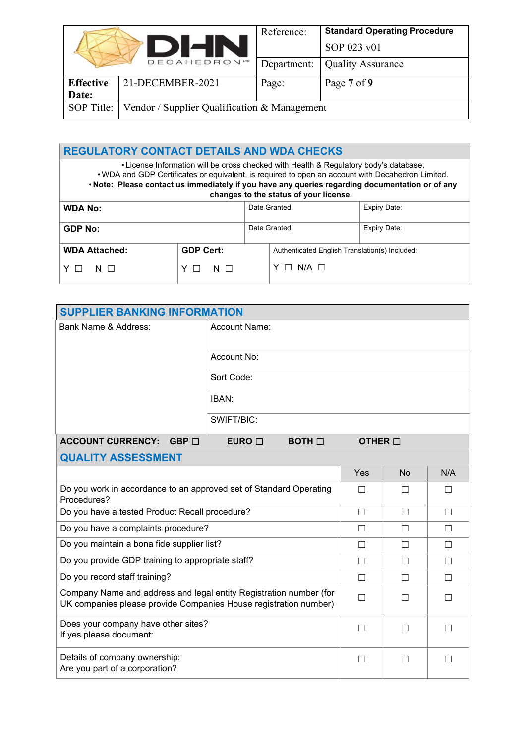| <b>DIHN</b>      |                                              | Reference:  | <b>Standard Operating Procedure</b> |
|------------------|----------------------------------------------|-------------|-------------------------------------|
|                  |                                              |             | SOP 023 v01                         |
|                  | DECAHEDRON"                                  | Department: | <b>Quality Assurance</b>            |
| <b>Effective</b> | 21-DECEMBER-2021                             | Page:       | Page 7 of 9                         |
| Date:            |                                              |             |                                     |
| SOP Title:       | Vendor / Supplier Qualification & Management |             |                                     |

| <b>REGULATORY CONTACT DETAILS AND WDA CHECKS</b>                                                                                                                                                                                                                                                                                        |                               |  |                                                |  |  |
|-----------------------------------------------------------------------------------------------------------------------------------------------------------------------------------------------------------------------------------------------------------------------------------------------------------------------------------------|-------------------------------|--|------------------------------------------------|--|--|
| . License Information will be cross checked with Health & Regulatory body's database.<br>. WDA and GDP Certificates or equivalent, is required to open an account with Decahedron Limited.<br>. Note: Please contact us immediately if you have any queries regarding documentation or of any<br>changes to the status of your license. |                               |  |                                                |  |  |
| <b>WDA No:</b>                                                                                                                                                                                                                                                                                                                          | Date Granted:<br>Expiry Date: |  |                                                |  |  |
| <b>GDP No:</b>                                                                                                                                                                                                                                                                                                                          | Date Granted:<br>Expiry Date: |  |                                                |  |  |
| <b>WDA Attached:</b>                                                                                                                                                                                                                                                                                                                    | <b>GDP Cert:</b>              |  | Authenticated English Translation(s) Included: |  |  |
| N                                                                                                                                                                                                                                                                                                                                       | $N$ $\Box$                    |  | $N/A$ $\Box$                                   |  |  |

| <b>SUPPLIER BANKING INFORMATION</b>                                                                                                    |                                    |                 |           |         |  |
|----------------------------------------------------------------------------------------------------------------------------------------|------------------------------------|-----------------|-----------|---------|--|
| Bank Name & Address:                                                                                                                   | Account Name:                      |                 |           |         |  |
|                                                                                                                                        | Account No:                        |                 |           |         |  |
|                                                                                                                                        | Sort Code:                         |                 |           |         |  |
|                                                                                                                                        | IBAN:                              |                 |           |         |  |
|                                                                                                                                        | SWIFT/BIC:                         |                 |           |         |  |
| <b>ACCOUNT CURRENCY:</b><br>$GBP \Box$                                                                                                 | EURO $\square$<br>$BOTH$ $\square$ | OTHER $\square$ |           |         |  |
| <b>QUALITY ASSESSMENT</b>                                                                                                              |                                    |                 |           |         |  |
|                                                                                                                                        |                                    | Yes             | <b>No</b> | N/A     |  |
| Do you work in accordance to an approved set of Standard Operating<br>Procedures?                                                      |                                    | $\Box$          | $\Box$    | $\perp$ |  |
| Do you have a tested Product Recall procedure?                                                                                         |                                    | $\Box$          | $\Box$    | $\Box$  |  |
| Do you have a complaints procedure?                                                                                                    |                                    | П               | П         | $\Box$  |  |
| Do you maintain a bona fide supplier list?                                                                                             |                                    | П               | П         | П       |  |
| Do you provide GDP training to appropriate staff?                                                                                      |                                    | П               | П         | $\Box$  |  |
| Do you record staff training?                                                                                                          |                                    | П               | П         | П       |  |
| Company Name and address and legal entity Registration number (for<br>UK companies please provide Companies House registration number) |                                    | П               | П         | П       |  |
| Does your company have other sites?<br>If yes please document:                                                                         |                                    | П               |           |         |  |
| Details of company ownership:<br>Are you part of a corporation?                                                                        |                                    |                 |           |         |  |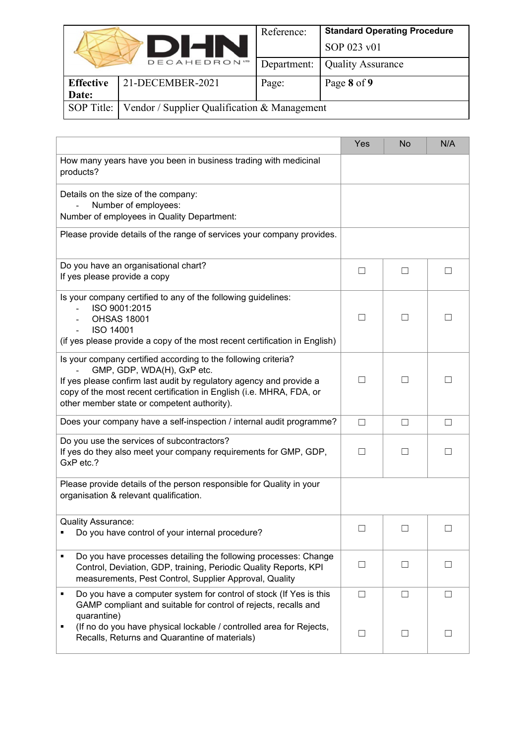|                                                            | Reference:  | <b>Standard Operating Procedure</b> |
|------------------------------------------------------------|-------------|-------------------------------------|
|                                                            |             | SOP 023 v01                         |
|                                                            | Department: | <b>Quality Assurance</b>            |
| 21-DECEMBER-2021<br><b>Effective</b>                       | Page:       | Page 8 of 9                         |
| Date:                                                      |             |                                     |
| SOP Title:<br>Vendor / Supplier Qualification & Management |             |                                     |
| <b>DHN</b><br><b>DECAHEDRON</b>                            |             |                                     |

|                                                                                                                                                                                                                                                                                            | Yes               | <b>No</b> | N/A    |
|--------------------------------------------------------------------------------------------------------------------------------------------------------------------------------------------------------------------------------------------------------------------------------------------|-------------------|-----------|--------|
| How many years have you been in business trading with medicinal<br>products?                                                                                                                                                                                                               |                   |           |        |
| Details on the size of the company:<br>Number of employees:<br>Number of employees in Quality Department:                                                                                                                                                                                  |                   |           |        |
| Please provide details of the range of services your company provides.                                                                                                                                                                                                                     |                   |           |        |
| Do you have an organisational chart?<br>If yes please provide a copy                                                                                                                                                                                                                       | $\Box$            | □         | $\Box$ |
| Is your company certified to any of the following guidelines:<br>ISO 9001:2015<br><b>OHSAS 18001</b><br><b>ISO 14001</b><br>(if yes please provide a copy of the most recent certification in English)                                                                                     |                   |           |        |
| Is your company certified according to the following criteria?<br>GMP, GDP, WDA(H), GxP etc.<br>If yes please confirm last audit by regulatory agency and provide a<br>copy of the most recent certification in English (i.e. MHRA, FDA, or<br>other member state or competent authority). | $\vert \ \ \vert$ | П         |        |
| Does your company have a self-inspection / internal audit programme?                                                                                                                                                                                                                       | $\Box$            | $\Box$    | $\Box$ |
| Do you use the services of subcontractors?<br>If yes do they also meet your company requirements for GMP, GDP,<br>GxP etc.?                                                                                                                                                                | $\Box$            | $\Box$    | П      |
| Please provide details of the person responsible for Quality in your<br>organisation & relevant qualification.                                                                                                                                                                             |                   |           |        |
| <b>Quality Assurance:</b><br>Do you have control of your internal procedure?                                                                                                                                                                                                               | $\Box$            | П         | $\Box$ |
| Do you have processes detailing the following processes: Change<br>Control, Deviation, GDP, training, Periodic Quality Reports, KPI<br>measurements, Pest Control, Supplier Approval, Quality                                                                                              | $\Box$            | П         | $\Box$ |
| Do you have a computer system for control of stock (If Yes is this<br>٠<br>GAMP compliant and suitable for control of rejects, recalls and<br>quarantine)                                                                                                                                  | $\Box$            | $\Box$    | $\Box$ |
| (If no do you have physical lockable / controlled area for Rejects,<br>٠<br>Recalls, Returns and Quarantine of materials)                                                                                                                                                                  | ш                 | $\Box$    | $\Box$ |